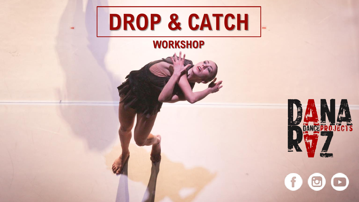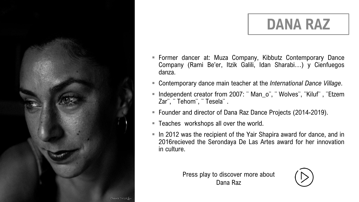## **DANA RAZ**

- Former dancer at: Muza Company, Kibbutz Contemporary Dance Company (Rami Be'er, Itzik Galili, Idan Sharabi…) y Cienfuegos danza.
- Contemporary dance main teacher at the *International Dance Village*.
- Independent creator from 2007: ¨ Man\_o¨, ¨ Wolves¨, ¨Kiluf¨ , ¨Etzem Zar¨, ¨ Tehom¨, ¨ Tesela¨ .
- Founder and director of Dana Raz Dance Projects (2014-2019).
- Teaches workshops all over the world.
- In 2012 was the recipient of the Yair Shapira award for dance, and in 2016recieved the Serondaya De Las Artes award for her innovation in culture.

Press play to discover more about Dana Raz

![](_page_1_Picture_8.jpeg)

Chema Tristan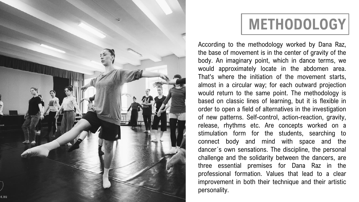![](_page_2_Picture_0.jpeg)

## **METHODOLOGY**

According to the methodology worked by Dana Raz, the base of movement is in the center of gravity of the body. An imaginary point, which in dance terms, we would approximately locate in the abdomen area. That's where the initiation of the movement starts, almost in a circular way; for each outward projection would return to the same point. The methodology is based on classic lines of learning, but it is flexible in order to open a field of alternatives in the investigation of new patterns. Self-control, action-reaction, gravity, release, rhythms etc. Are concepts worked on a stimulation form for the students, searching to connect body and mind with space and the dancer´s own sensations. The discipline, the personal challenge and the solidarity between the dancers, are three essential premises for Dana Raz in the professional formation. Values that lead to a clear improvement in both their technique and their artistic personality.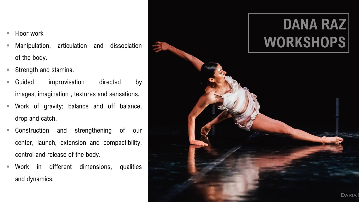- $\blacksquare$  Floor work
- Manipulation, articulation and dissociation of the body.
- **Strength and stamina.**
- **Guided** improvisation directed by images, imagination , textures and sensations.
- Work of gravity; balance and off balance, drop and catch.
- **EX Construction and strengthening of our** center, launch, extension and compactibility, control and release of the body.
- Work in different dimensions, qualities and dynamics.

![](_page_3_Picture_7.jpeg)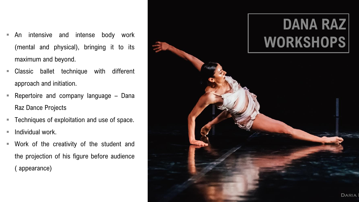- An intensive and intense body work (mental and physical), bringing it to its maximum and beyond.
- Classic ballet technique with different approach and initiation.
- **Repertoire and company language Dana** Raz Dance Projects
- **Techniques of exploitation and use of space.**
- $\blacksquare$  Individual work.
- Work of the creativity of the student and the projection of his figure before audience ( appearance)

![](_page_4_Picture_6.jpeg)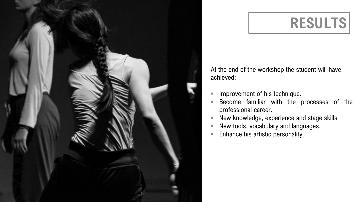![](_page_5_Picture_0.jpeg)

#### **RESULTS**

At the end of the workshop the student will have achieved:

- Improvement of his technique.
- Become familiar with the processes of the professional career.
- New knowledge, experience and stage skills
- New tools, vocabulary and languages.
- Enhance his artistic personality.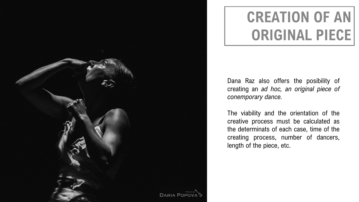![](_page_6_Picture_0.jpeg)

## **CREATION OF AN ORIGINAL PIECE**

Dana Raz also offers the posibility of creating an *ad hoc, an original piece of conemporary dance.*

The viability and the orientation of the creative process must be calculated as the determinats of each case, time of the creating process, number of dancers, length of the piece, etc.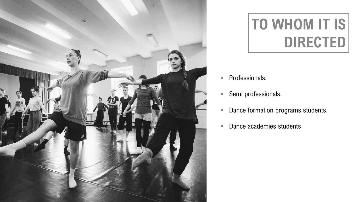![](_page_7_Picture_0.jpeg)

# **TO WHOM IT IS DIRECTED**

- **Professionals.**
- Semi professionals.
- **Dance formation programs students.**
- **Dance academies students**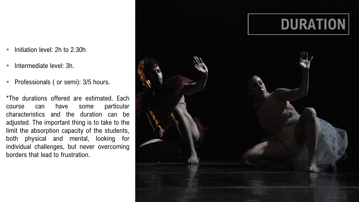- Initiation level: 2h to 2.30h
- $\blacksquare$  Intermediate level: 3h.
- **Professionals (or semi): 3/5 hours.**

\*The durations offered are estimated. Each course can have some particular characteristics and the duration can be adjusted. The important thing is to take to the limit the absorption capacity of the students, both physical and mental, looking for individual challenges, but never overcoming borders that lead to frustration.

![](_page_8_Picture_4.jpeg)